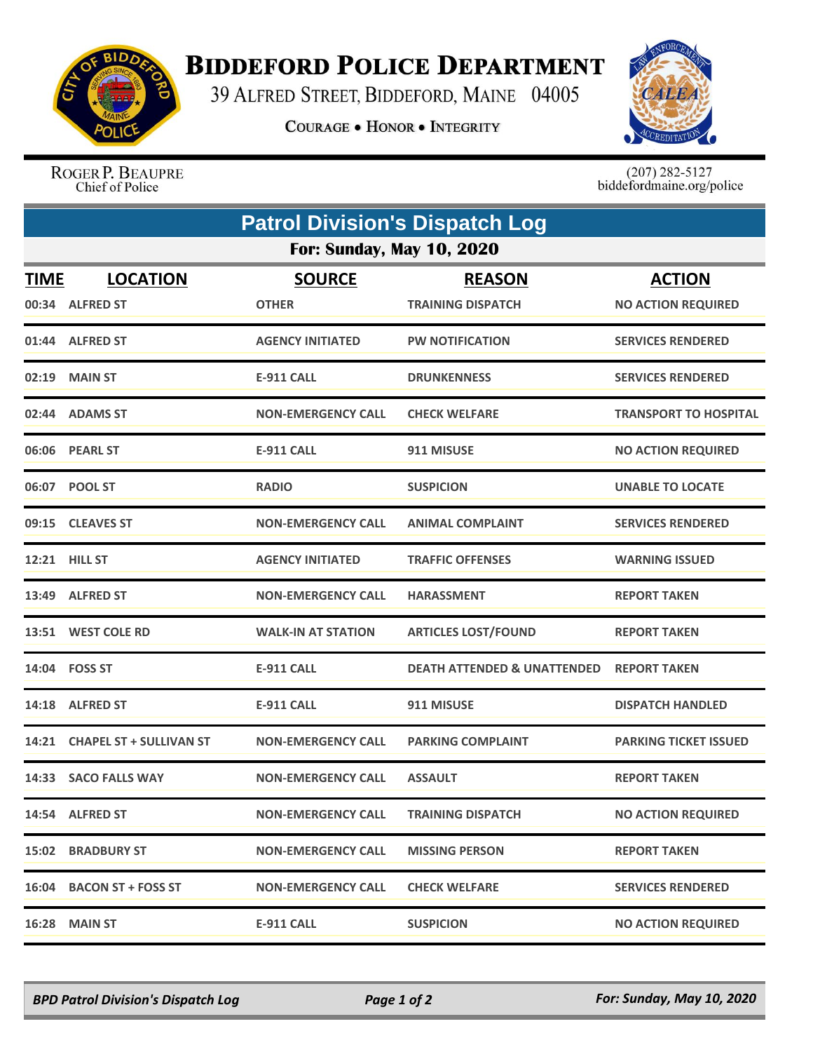

## **BIDDEFORD POLICE DEPARTMENT**

39 ALFRED STREET, BIDDEFORD, MAINE 04005

**COURAGE . HONOR . INTEGRITY** 



ROGER P. BEAUPRE Chief of Police

 $(207)$  282-5127<br>biddefordmaine.org/police

| <b>Patrol Division's Dispatch Log</b> |                                    |                               |                                           |                                            |  |  |  |
|---------------------------------------|------------------------------------|-------------------------------|-------------------------------------------|--------------------------------------------|--|--|--|
| <b>For: Sunday, May 10, 2020</b>      |                                    |                               |                                           |                                            |  |  |  |
| <b>TIME</b>                           | <b>LOCATION</b><br>00:34 ALFRED ST | <b>SOURCE</b><br><b>OTHER</b> | <b>REASON</b><br><b>TRAINING DISPATCH</b> | <b>ACTION</b><br><b>NO ACTION REQUIRED</b> |  |  |  |
|                                       | 01:44 ALFRED ST                    | <b>AGENCY INITIATED</b>       | <b>PW NOTIFICATION</b>                    | <b>SERVICES RENDERED</b>                   |  |  |  |
|                                       | 02:19 MAIN ST                      | <b>E-911 CALL</b>             | <b>DRUNKENNESS</b>                        | <b>SERVICES RENDERED</b>                   |  |  |  |
|                                       | 02:44 ADAMS ST                     | <b>NON-EMERGENCY CALL</b>     | <b>CHECK WELFARE</b>                      | <b>TRANSPORT TO HOSPITAL</b>               |  |  |  |
|                                       | 06:06 PEARL ST                     | <b>E-911 CALL</b>             | 911 MISUSE                                | <b>NO ACTION REQUIRED</b>                  |  |  |  |
|                                       | 06:07 POOL ST                      | <b>RADIO</b>                  | <b>SUSPICION</b>                          | <b>UNABLE TO LOCATE</b>                    |  |  |  |
|                                       | 09:15 CLEAVES ST                   | <b>NON-EMERGENCY CALL</b>     | <b>ANIMAL COMPLAINT</b>                   | <b>SERVICES RENDERED</b>                   |  |  |  |
|                                       | <b>12:21 HILL ST</b>               | <b>AGENCY INITIATED</b>       | <b>TRAFFIC OFFENSES</b>                   | <b>WARNING ISSUED</b>                      |  |  |  |
|                                       | 13:49 ALFRED ST                    | <b>NON-EMERGENCY CALL</b>     | <b>HARASSMENT</b>                         | <b>REPORT TAKEN</b>                        |  |  |  |
|                                       | 13:51 WEST COLE RD                 | <b>WALK-IN AT STATION</b>     | <b>ARTICLES LOST/FOUND</b>                | <b>REPORT TAKEN</b>                        |  |  |  |
|                                       | 14:04 FOSS ST                      | <b>E-911 CALL</b>             | <b>DEATH ATTENDED &amp; UNATTENDED</b>    | <b>REPORT TAKEN</b>                        |  |  |  |
| 14:18                                 | <b>ALFRED ST</b>                   | <b>E-911 CALL</b>             | 911 MISUSE                                | <b>DISPATCH HANDLED</b>                    |  |  |  |
|                                       | 14:21 CHAPEL ST + SULLIVAN ST      | <b>NON-EMERGENCY CALL</b>     | <b>PARKING COMPLAINT</b>                  | <b>PARKING TICKET ISSUED</b>               |  |  |  |
|                                       | 14:33 SACO FALLS WAY               | <b>NON-EMERGENCY CALL</b>     | <b>ASSAULT</b>                            | <b>REPORT TAKEN</b>                        |  |  |  |
|                                       | 14:54 ALFRED ST                    | <b>NON-EMERGENCY CALL</b>     | <b>TRAINING DISPATCH</b>                  | <b>NO ACTION REQUIRED</b>                  |  |  |  |
|                                       | <b>15:02 BRADBURY ST</b>           | <b>NON-EMERGENCY CALL</b>     | <b>MISSING PERSON</b>                     | <b>REPORT TAKEN</b>                        |  |  |  |
|                                       | 16:04 BACON ST + FOSS ST           | <b>NON-EMERGENCY CALL</b>     | <b>CHECK WELFARE</b>                      | <b>SERVICES RENDERED</b>                   |  |  |  |
|                                       | 16:28 MAIN ST                      | <b>E-911 CALL</b>             | <b>SUSPICION</b>                          | <b>NO ACTION REQUIRED</b>                  |  |  |  |